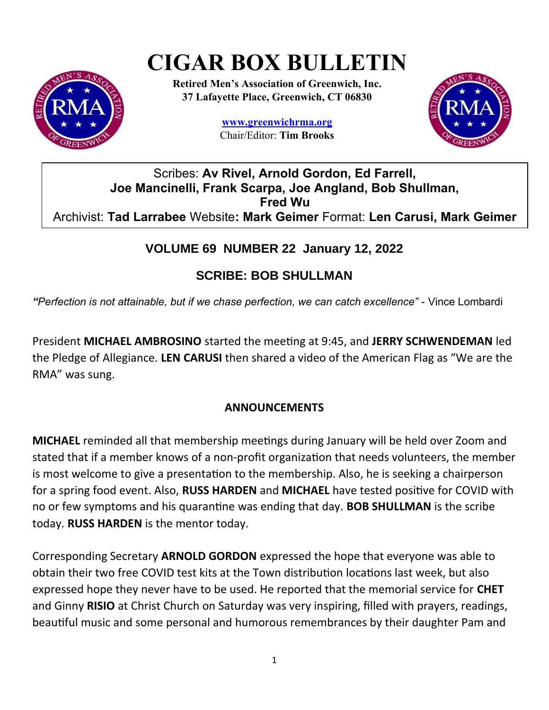# **CIGAR BOX BULLETIN**



**Retired Men's Association of Greenwich, Inc. 37 Lafayette Place, Greenwich, CT 06830**

> **www.greenwichrma.org** Chair/Editor: **Tim Brooks**



## Scribes: **Av Rivel, Arnold Gordon, Ed Farrell, Joe Mancinelli, Frank Scarpa, Joe Angland, Bob Shullman, Fred Wu** Archivist: **Tad Larrabee** Website**: Mark Geimer** Format: **Len Carusi, Mark Geimer**

## **VOLUME 69 NUMBER 22 January 12, 2022**

## **SCRIBE: BOB SHULLMAN**

*"Perfection is not attainable, but if we chase perfection, we can catch excellence" -* Vince Lombardi

President **MICHAEL AMBROSINO** started the meeting at 9:45, and **JERRY SCHWENDEMAN** led the Pledge of Allegiance. **LEN CARUSI** then shared a video of the American Flag as "We are the RMA" was sung.

#### **ANNOUNCEMENTS**

**MICHAEL** reminded all that membership meetings during January will be held over Zoom and stated that if a member knows of a non-profit organization that needs volunteers, the member is most welcome to give a presentation to the membership. Also, he is seeking a chairperson for a spring food event. Also, **RUSS HARDEN** and **MICHAEL** have tested positive for COVID with no or few symptoms and his quarantine was ending that day. **BOB SHULLMAN** is the scribe today. **RUSS HARDEN** is the mentor today.

Corresponding Secretary **ARNOLD GORDON** expressed the hope that everyone was able to obtain their two free COVID test kits at the Town distribution locations last week, but also expressed hope they never have to be used. He reported that the memorial service for **CHET** and Ginny **RISIO** at Christ Church on Saturday was very inspiring, filled with prayers, readings, beautiful music and some personal and humorous remembrances by their daughter Pam and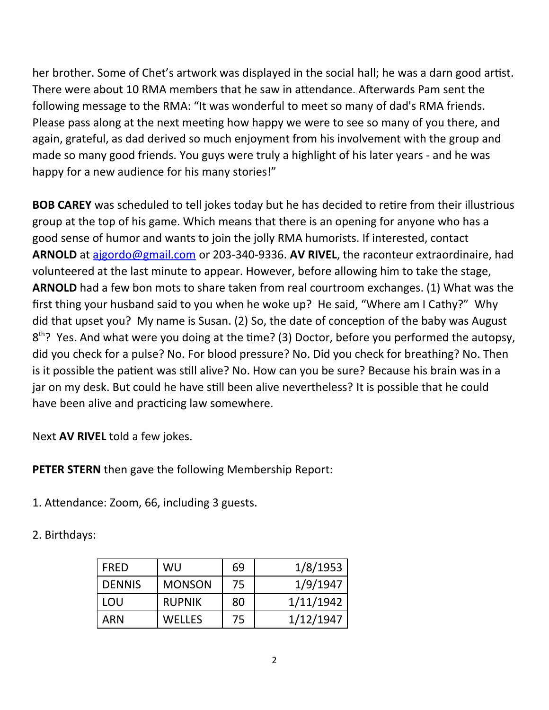her brother. Some of Chet's artwork was displayed in the social hall; he was a darn good artist. There were about 10 RMA members that he saw in attendance. Afterwards Pam sent the following message to the RMA: "It was wonderful to meet so many of dad's RMA friends. Please pass along at the next meeting how happy we were to see so many of you there, and again, grateful, as dad derived so much enjoyment from his involvement with the group and made so many good friends. You guys were truly a highlight of his later years - and he was happy for a new audience for his many stories!"

**BOB CAREY** was scheduled to tell jokes today but he has decided to retire from their illustrious group at the top of his game. Which means that there is an opening for anyone who has a good sense of humor and wants to join the jolly RMA humorists. If interested, contact **ARNOLD** at ajgordo@gmail.com or 203-340-9336. **AV RIVEL**, the raconteur extraordinaire, had volunteered at the last minute to appear. However, before allowing him to take the stage, **ARNOLD** had a few bon mots to share taken from real courtroom exchanges. (1) What was the first thing your husband said to you when he woke up? He said, "Where am I Cathy?" Why did that upset you? My name is Susan. (2) So, the date of conception of the baby was August 8<sup>th</sup>? Yes. And what were you doing at the time? (3) Doctor, before you performed the autopsy, did you check for a pulse? No. For blood pressure? No. Did you check for breathing? No. Then is it possible the patient was still alive? No. How can you be sure? Because his brain was in a jar on my desk. But could he have still been alive nevertheless? It is possible that he could have been alive and practicing law somewhere.

Next **AV RIVEL** told a few jokes.

**PETER STERN** then gave the following Membership Report:

1. Attendance: Zoom, 66, including 3 guests.

2. Birthdays:

| <b>FRED</b>   | WU            | 69 | 1/8/1953  |
|---------------|---------------|----|-----------|
| <b>DENNIS</b> | <b>MONSON</b> | 75 | 1/9/1947  |
| LOU           | <b>RUPNIK</b> | 80 | 1/11/1942 |
| ARN           | <b>WELLES</b> | 75 | 1/12/1947 |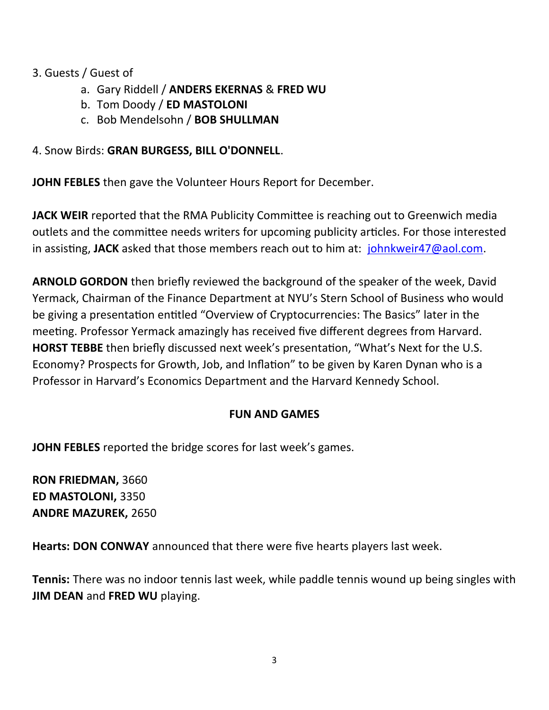#### 3. Guests / Guest of

- a. Gary Riddell / **ANDERS EKERNAS** & **FRED WU**
- b. Tom Doody / **ED MASTOLONI**
- c. Bob Mendelsohn / **BOB SHULLMAN**

#### 4. Snow Birds: **GRAN BURGESS, BILL O'DONNELL**.

**JOHN FEBLES** then gave the Volunteer Hours Report for December.

**JACK WEIR** reported that the RMA Publicity Committee is reaching out to Greenwich media outlets and the committee needs writers for upcoming publicity articles. For those interested in assisting, **JACK** asked that those members reach out to him at: [johnkweir47@aol.com](mailto:johnkweir47@aol.com).

**ARNOLD GORDON** then briefly reviewed the background of the speaker of the week, David Yermack, Chairman of the Finance Department at NYU's Stern School of Business who would be giving a presentation entitled "Overview of Cryptocurrencies: The Basics" later in the meeting. Professor Yermack amazingly has received five different degrees from Harvard. **HORST TEBBE** then briefly discussed next week's presentation, "What's Next for the U.S. Economy? Prospects for Growth, Job, and Inflation" to be given by Karen Dynan who is a Professor in Harvard's Economics Department and the Harvard Kennedy School.

#### **FUN AND GAMES**

**JOHN FEBLES** reported the bridge scores for last week's games.

**RON FRIEDMAN,** 3660 **ED MASTOLONI,** 3350 **ANDRE MAZUREK,** 2650

**Hearts: DON CONWAY** announced that there were five hearts players last week.

**Tennis:** There was no indoor tennis last week, while paddle tennis wound up being singles with **JIM DEAN** and **FRED WU** playing.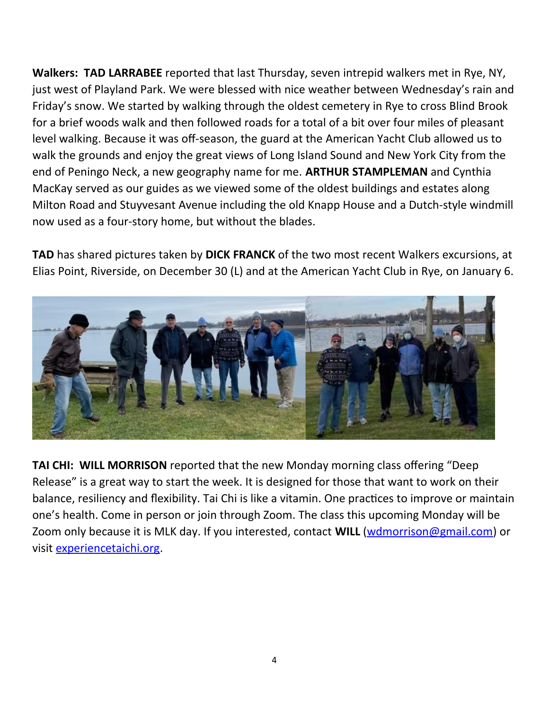**Walkers: TAD LARRABEE** reported that last Thursday, seven intrepid walkers met in Rye, NY, just west of Playland Park. We were blessed with nice weather between Wednesday's rain and Friday's snow. We started by walking through the oldest cemetery in Rye to cross Blind Brook for a brief woods walk and then followed roads for a total of a bit over four miles of pleasant level walking. Because it was off-season, the guard at the American Yacht Club allowed us to walk the grounds and enjoy the great views of Long Island Sound and New York City from the end of Peningo Neck, a new geography name for me. **ARTHUR STAMPLEMAN** and Cynthia MacKay served as our guides as we viewed some of the oldest buildings and estates along Milton Road and Stuyvesant Avenue including the old Knapp House and a Dutch-style windmill now used as a four-story home, but without the blades.

**TAD** has shared pictures taken by **DICK FRANCK** of the two most recent Walkers excursions, at Elias Point, Riverside, on December 30 (L) and at the American Yacht Club in Rye, on January 6.



**TAI CHI: WILL MORRISON** reported that the new Monday morning class offering "Deep Release" is a great way to start the week. It is designed for those that want to work on their balance, resiliency and flexibility. Tai Chi is like a vitamin. One practices to improve or maintain one's health. Come in person or join through Zoom. The class this upcoming Monday will be Zoom only because it is MLK day. If you interested, contact **WILL** (wdmorrison@gmail.com) or visit experiencetaichi.org.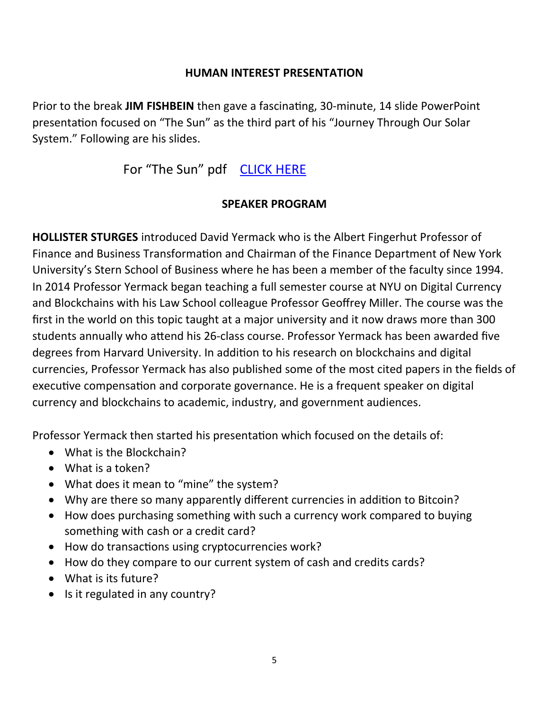#### **HUMAN INTEREST PRESENTATION**

Prior to the break **JIM FISHBEIN** then gave a fascinating, 30-minute, 14 slide PowerPoint presentation focused on "The Sun" as the third part of his "Journey Through Our Solar System." Following are his slides.

# For "The Sun" pdf [CLICK HERE](https://drive.google.com/file/d/1GEBP2OZDHlETpFgtdAi5BbKwuh_GRp44/view?usp=sharing)

#### **SPEAKER PROGRAM**

**HOLLISTER STURGES** introduced David Yermack who is the Albert Fingerhut Professor of Finance and Business Transformation and Chairman of the Finance Department of New York University's Stern School of Business where he has been a member of the faculty since 1994. In 2014 Professor Yermack began teaching a full semester course at NYU on Digital Currency and Blockchains with his Law School colleague Professor Geoffrey Miller. The course was the first in the world on this topic taught at a major university and it now draws more than 300 students annually who attend his 26-class course. Professor Yermack has been awarded five degrees from Harvard University. In addition to his research on blockchains and digital currencies, Professor Yermack has also published some of the most cited papers in the fields of executive compensation and corporate governance. He is a frequent speaker on digital currency and blockchains to academic, industry, and government audiences.

Professor Yermack then started his presentation which focused on the details of:

- What is the Blockchain?
- What is a token?
- What does it mean to "mine" the system?
- Why are there so many apparently different currencies in addition to Bitcoin?
- How does purchasing something with such a currency work compared to buying something with cash or a credit card?
- How do transactions using cryptocurrencies work?
- How do they compare to our current system of cash and credits cards?
- What is its future?
- Is it regulated in any country?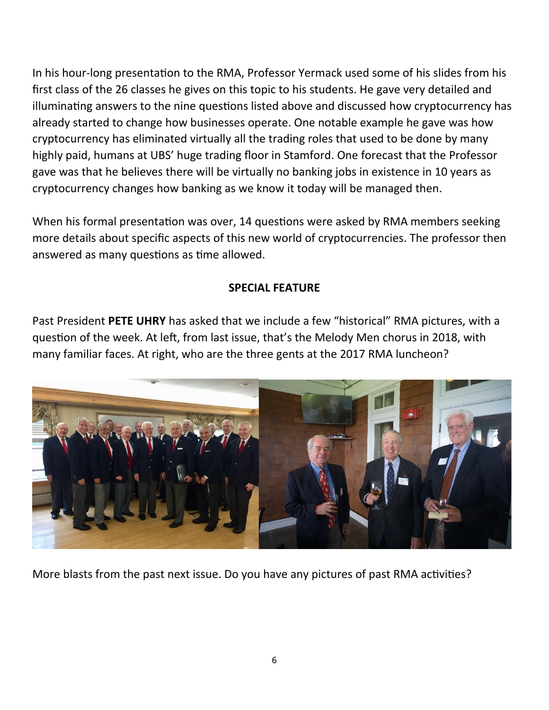In his hour-long presentation to the RMA, Professor Yermack used some of his slides from his first class of the 26 classes he gives on this topic to his students. He gave very detailed and illuminating answers to the nine questions listed above and discussed how cryptocurrency has already started to change how businesses operate. One notable example he gave was how cryptocurrency has eliminated virtually all the trading roles that used to be done by many highly paid, humans at UBS' huge trading floor in Stamford. One forecast that the Professor gave was that he believes there will be virtually no banking jobs in existence in 10 years as cryptocurrency changes how banking as we know it today will be managed then.

When his formal presentation was over, 14 questions were asked by RMA members seeking more details about specific aspects of this new world of cryptocurrencies. The professor then answered as many questions as time allowed.

#### **SPECIAL FEATURE**

Past President **PETE UHRY** has asked that we include a few "historical" RMA pictures, with a question of the week. At left, from last issue, that's the Melody Men chorus in 2018, with many familiar faces. At right, who are the three gents at the 2017 RMA luncheon?



More blasts from the past next issue. Do you have any pictures of past RMA activities?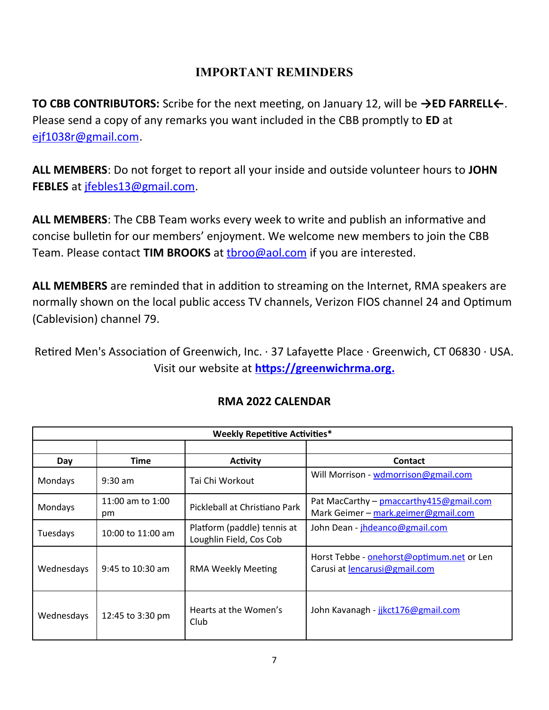#### **IMPORTANT REMINDERS**

**TO CBB CONTRIBUTORS:** Scribe for the next meeting, on January 12, will be **→ED FARRELL←**. Please send a copy of any remarks you want included in the CBB promptly to **ED** at [ejf1038r@gmail.com](mailto:ejf1038r@gmail.com).

**ALL MEMBERS**: Do not forget to report all your inside and outside volunteer hours to **JOHN FEBLES** at [jfebles13@gmail.com.](mailto:jfebles13@gmail.com)

**ALL MEMBERS**: The CBB Team works every week to write and publish an informative and concise bulletin for our members' enjoyment. We welcome new members to join the CBB Team. Please contact **TIM BROOKS** at [tbroo@aol.com](mailto:tbroo@aol.com) if you are interested.

**ALL MEMBERS** are reminded that in addition to streaming on the Internet, RMA speakers are normally shown on the local public access TV channels, Verizon FIOS channel 24 and Optimum (Cablevision) channel 79.

Retired Men's Association of Greenwich, Inc. · 37 Lafayette Place · Greenwich, CT 06830 · USA. Visit our website at **[https://greenwichrma.org .](https://greenwichrma.org/)**

| <b>Weekly Repetitive Activities*</b> |                        |                                                        |                                                                                   |  |  |
|--------------------------------------|------------------------|--------------------------------------------------------|-----------------------------------------------------------------------------------|--|--|
|                                      |                        |                                                        |                                                                                   |  |  |
| Day                                  | <b>Time</b>            | <b>Activity</b>                                        | <b>Contact</b>                                                                    |  |  |
| Mondays                              | $9:30$ am              | Tai Chi Workout                                        | Will Morrison - wdmorrison@gmail.com                                              |  |  |
| Mondays                              | 11:00 am to 1:00<br>pm | Pickleball at Christiano Park                          | Pat MacCarthy - pmaccarthy415@gmail.com<br>Mark Geimer - mark.geimer@gmail.com    |  |  |
| Tuesdays                             | 10:00 to 11:00 am      | Platform (paddle) tennis at<br>Loughlin Field, Cos Cob | John Dean - jhdeanco@gmail.com                                                    |  |  |
| Wednesdays                           | $9:45$ to 10:30 am     | <b>RMA Weekly Meeting</b>                              | Horst Tebbe - onehorst@optimum.net or Len<br>Carusi at <i>lencarusi@gmail.com</i> |  |  |
| Wednesdays                           | 12:45 to 3:30 pm       | Hearts at the Women's<br>Club                          | John Kavanagh - jikct176@gmail.com                                                |  |  |

### **RMA 2022 CALENDAR**